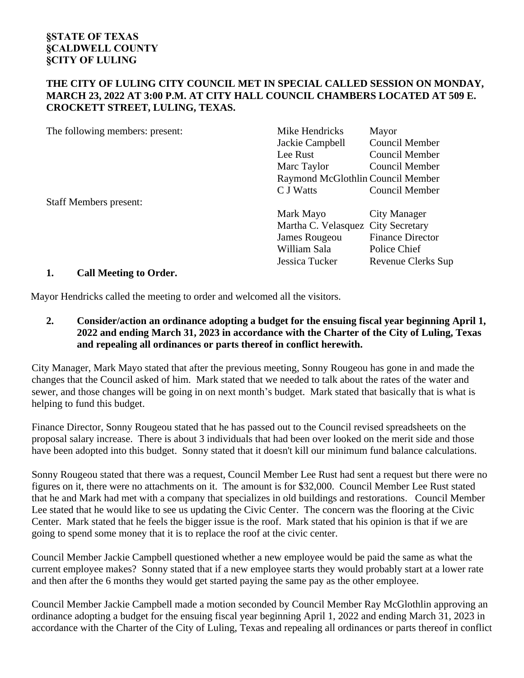## **THE CITY OF LULING CITY COUNCIL MET IN SPECIAL CALLED SESSION ON MONDAY, MARCH 23, 2022 AT 3:00 P.M. AT CITY HALL COUNCIL CHAMBERS LOCATED AT 509 E. CROCKETT STREET, LULING, TEXAS.**

| The following members: present:           | Mike Hendricks                     | Mayor                   |
|-------------------------------------------|------------------------------------|-------------------------|
|                                           | Jackie Campbell                    | <b>Council Member</b>   |
|                                           | Lee Rust                           | Council Member          |
|                                           | Marc Taylor                        | Council Member          |
|                                           | Raymond McGlothlin Council Member  |                         |
|                                           | C J Watts                          | Council Member          |
| <b>Staff Members present:</b>             |                                    |                         |
|                                           | Mark Mayo                          | <b>City Manager</b>     |
|                                           | Martha C. Velasquez City Secretary |                         |
|                                           | James Rougeou                      | <b>Finance Director</b> |
|                                           | William Sala                       | Police Chief            |
|                                           | Jessica Tucker                     | Revenue Clerks Sup      |
| -1<br>$\alpha$ unt $\beta$ is $\alpha$ is |                                    |                         |

## **1. Call Meeting to Order.**

Mayor Hendricks called the meeting to order and welcomed all the visitors.

**2. Consider/action an ordinance adopting a budget for the ensuing fiscal year beginning April 1, 2022 and ending March 31, 2023 in accordance with the Charter of the City of Luling, Texas and repealing all ordinances or parts thereof in conflict herewith.**

City Manager, Mark Mayo stated that after the previous meeting, Sonny Rougeou has gone in and made the changes that the Council asked of him. Mark stated that we needed to talk about the rates of the water and sewer, and those changes will be going in on next month's budget. Mark stated that basically that is what is helping to fund this budget.

Finance Director, Sonny Rougeou stated that he has passed out to the Council revised spreadsheets on the proposal salary increase. There is about 3 individuals that had been over looked on the merit side and those have been adopted into this budget. Sonny stated that it doesn't kill our minimum fund balance calculations.

Sonny Rougeou stated that there was a request, Council Member Lee Rust had sent a request but there were no figures on it, there were no attachments on it. The amount is for \$32,000. Council Member Lee Rust stated that he and Mark had met with a company that specializes in old buildings and restorations. Council Member Lee stated that he would like to see us updating the Civic Center. The concern was the flooring at the Civic Center. Mark stated that he feels the bigger issue is the roof. Mark stated that his opinion is that if we are going to spend some money that it is to replace the roof at the civic center.

Council Member Jackie Campbell questioned whether a new employee would be paid the same as what the current employee makes? Sonny stated that if a new employee starts they would probably start at a lower rate and then after the 6 months they would get started paying the same pay as the other employee.

Council Member Jackie Campbell made a motion seconded by Council Member Ray McGlothlin approving an ordinance adopting a budget for the ensuing fiscal year beginning April 1, 2022 and ending March 31, 2023 in accordance with the Charter of the City of Luling, Texas and repealing all ordinances or parts thereof in conflict